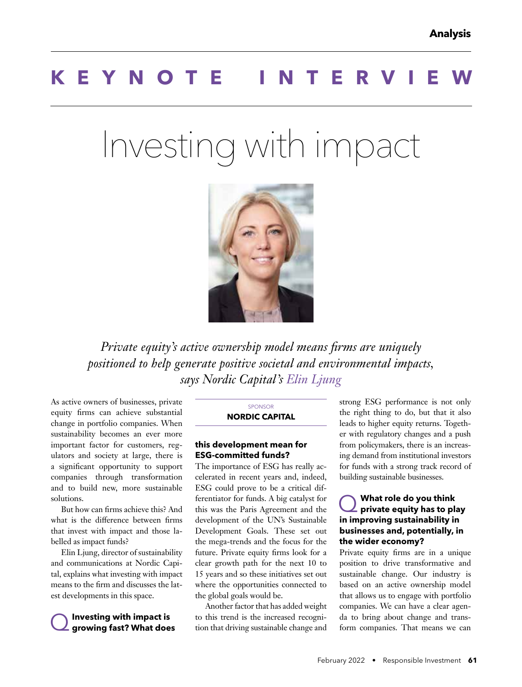# **KEYNOTE INTERV**

# Investing with impact



*Private equity's active ownership model means firms are uniquely positioned to help generate positive societal and environmental impacts, says Nordic Capital's Elin Ljung*

As active owners of businesses, private equity firms can achieve substantial change in portfolio companies. When sustainability becomes an ever more important factor for customers, regulators and society at large, there is a significant opportunity to support companies through transformation and to build new, more sustainable solutions.

But how can firms achieve this? And what is the difference between firms that invest with impact and those labelled as impact funds?

Elin Ljung, director of sustainability and communications at Nordic Capital, explains what investing with impact means to the firm and discusses the latest developments in this space.

# Q **Investing with impact is growing fast? What does**

#### SPONSOR **NORDIC CAPITAL**

#### **this development mean for ESG-committed funds?**

The importance of ESG has really accelerated in recent years and, indeed, ESG could prove to be a critical differentiator for funds. A big catalyst for this was the Paris Agreement and the development of the UN's Sustainable Development Goals. These set out the mega-trends and the focus for the future. Private equity firms look for a clear growth path for the next 10 to 15 years and so these initiatives set out where the opportunities connected to the global goals would be.

Another factor that has added weight to this trend is the increased recognition that driving sustainable change and strong ESG performance is not only the right thing to do, but that it also leads to higher equity returns. Together with regulatory changes and a push from policymakers, there is an increasing demand from institutional investors for funds with a strong track record of building sustainable businesses.

### Q **What role do you think private equity has to play in improving sustainability in businesses and, potentially, in the wider economy?**

Private equity firms are in a unique position to drive transformative and sustainable change. Our industry is based on an active ownership model that allows us to engage with portfolio companies. We can have a clear agenda to bring about change and transform companies. That means we can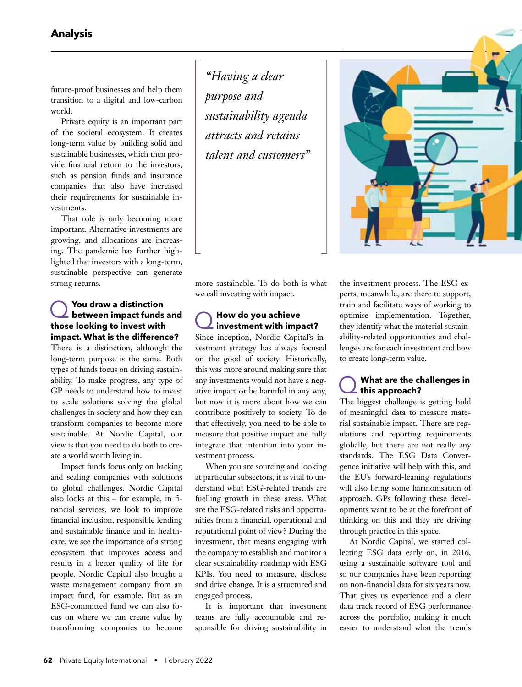future-proof businesses and help them transition to a digital and low-carbon world.

Private equity is an important part of the societal ecosystem. It creates long-term value by building solid and sustainable businesses, which then provide financial return to the investors, such as pension funds and insurance companies that also have increased their requirements for sustainable investments.

That role is only becoming more important. Alternative investments are growing, and allocations are increasing. The pandemic has further highlighted that investors with a long-term, sustainable perspective can generate strong returns.

### Q **You draw a distinction between impact funds and those looking to invest with impact. What is the difference?**

There is a distinction, although the long-term purpose is the same. Both types of funds focus on driving sustainability. To make progress, any type of GP needs to understand how to invest to scale solutions solving the global challenges in society and how they can transform companies to become more sustainable. At Nordic Capital, our view is that you need to do both to create a world worth living in.

Impact funds focus only on backing and scaling companies with solutions to global challenges. Nordic Capital also looks at this  $-$  for example, in financial services, we look to improve financial inclusion, responsible lending and sustainable finance and in healthcare, we see the importance of a strong ecosystem that improves access and results in a better quality of life for people. Nordic Capital also bought a waste management company from an impact fund, for example. But as an ESG-committed fund we can also focus on where we can create value by transforming companies to become

*"Having a clear purpose and sustainability agenda attracts and retains talent and customers"*



more sustainable. To do both is what we call investing with impact.

# Q **How do you achieve investment with impact?**

Since inception, Nordic Capital's investment strategy has always focused on the good of society. Historically, this was more around making sure that any investments would not have a negative impact or be harmful in any way, but now it is more about how we can contribute positively to society. To do that effectively, you need to be able to measure that positive impact and fully integrate that intention into your investment process.

When you are sourcing and looking at particular subsectors, it is vital to understand what ESG-related trends are fuelling growth in these areas. What are the ESG-related risks and opportunities from a financial, operational and reputational point of view? During the investment, that means engaging with the company to establish and monitor a clear sustainability roadmap with ESG KPIs. You need to measure, disclose and drive change. It is a structured and engaged process.

It is important that investment teams are fully accountable and responsible for driving sustainability in the investment process. The ESG experts, meanwhile, are there to support, train and facilitate ways of working to optimise implementation. Together, they identify what the material sustainability-related opportunities and challenges are for each investment and how to create long-term value.

#### Q **What are the challenges in this approach?**

The biggest challenge is getting hold of meaningful data to measure material sustainable impact. There are regulations and reporting requirements globally, but there are not really any standards. The ESG Data Convergence initiative will help with this, and the EU's forward-leaning regulations will also bring some harmonisation of approach. GPs following these developments want to be at the forefront of thinking on this and they are driving through practice in this space.

At Nordic Capital, we started collecting ESG data early on, in 2016, using a sustainable software tool and so our companies have been reporting on non-financial data for six years now. That gives us experience and a clear data track record of ESG performance across the portfolio, making it much easier to understand what the trends